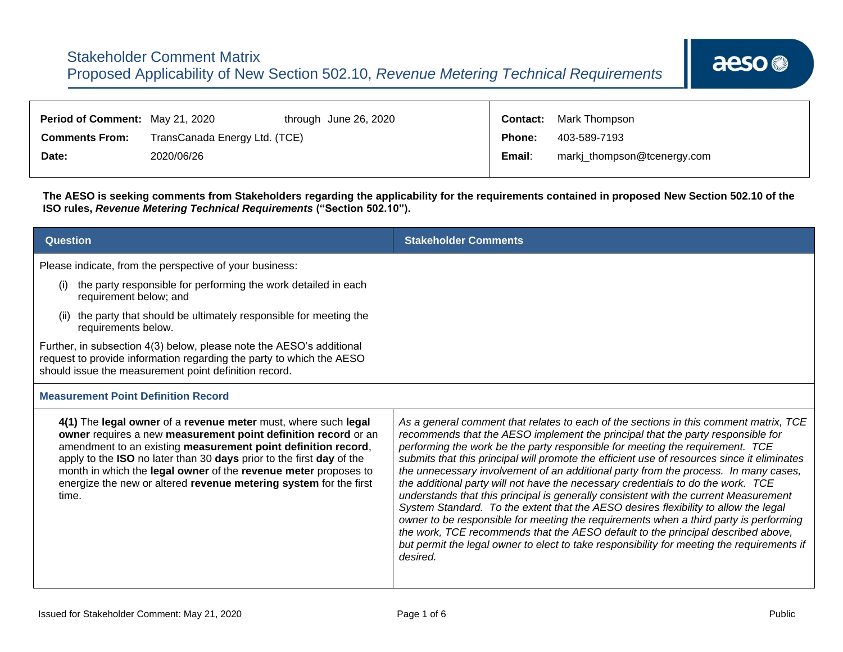| <b>Period of Comment: May 21, 2020</b> |                               | through June 26, 2020 |               | <b>Contact:</b> Mark Thompson |
|----------------------------------------|-------------------------------|-----------------------|---------------|-------------------------------|
| <b>Comments From:</b>                  | TransCanada Energy Ltd. (TCE) |                       | <b>Phone:</b> | 403-589-7193                  |
| Date:                                  | 2020/06/26                    |                       | Email:        | markj_thompson@tcenergy.com   |

┱

**The AESO is seeking comments from Stakeholders regarding the applicability for the requirements contained in proposed New Section 502.10 of the ISO rules,** *Revenue Metering Technical Requirements* **("Section 502.10").**

| <b>Question</b>                                                                                                                                                                                                                                                                                                                                                                                                                                               | <b>Stakeholder Comments</b>                                                                                                                                                                                                                                                                                                                                                                                                                                                                                                                                                                                                                                                                                                                                                                                                                                                                                                                                                                               |
|---------------------------------------------------------------------------------------------------------------------------------------------------------------------------------------------------------------------------------------------------------------------------------------------------------------------------------------------------------------------------------------------------------------------------------------------------------------|-----------------------------------------------------------------------------------------------------------------------------------------------------------------------------------------------------------------------------------------------------------------------------------------------------------------------------------------------------------------------------------------------------------------------------------------------------------------------------------------------------------------------------------------------------------------------------------------------------------------------------------------------------------------------------------------------------------------------------------------------------------------------------------------------------------------------------------------------------------------------------------------------------------------------------------------------------------------------------------------------------------|
| Please indicate, from the perspective of your business:<br>the party responsible for performing the work detailed in each<br>(i)<br>requirement below; and<br>the party that should be ultimately responsible for meeting the<br>requirements below.<br>Further, in subsection 4(3) below, please note the AESO's additional<br>request to provide information regarding the party to which the AESO<br>should issue the measurement point definition record. |                                                                                                                                                                                                                                                                                                                                                                                                                                                                                                                                                                                                                                                                                                                                                                                                                                                                                                                                                                                                           |
| <b>Measurement Point Definition Record</b>                                                                                                                                                                                                                                                                                                                                                                                                                    |                                                                                                                                                                                                                                                                                                                                                                                                                                                                                                                                                                                                                                                                                                                                                                                                                                                                                                                                                                                                           |
| 4(1) The legal owner of a revenue meter must, where such legal<br>owner requires a new measurement point definition record or an<br>amendment to an existing measurement point definition record,<br>apply to the ISO no later than 30 days prior to the first day of the<br>month in which the legal owner of the revenue meter proposes to<br>energize the new or altered revenue metering system for the first<br>time.                                    | As a general comment that relates to each of the sections in this comment matrix, TCE<br>recommends that the AESO implement the principal that the party responsible for<br>performing the work be the party responsible for meeting the requirement. TCE<br>submits that this principal will promote the efficient use of resources since it eliminates<br>the unnecessary involvement of an additional party from the process. In many cases,<br>the additional party will not have the necessary credentials to do the work. TCE<br>understands that this principal is generally consistent with the current Measurement<br>System Standard. To the extent that the AESO desires flexibility to allow the legal<br>owner to be responsible for meeting the requirements when a third party is performing<br>the work, TCE recommends that the AESO default to the principal described above,<br>but permit the legal owner to elect to take responsibility for meeting the requirements if<br>desired. |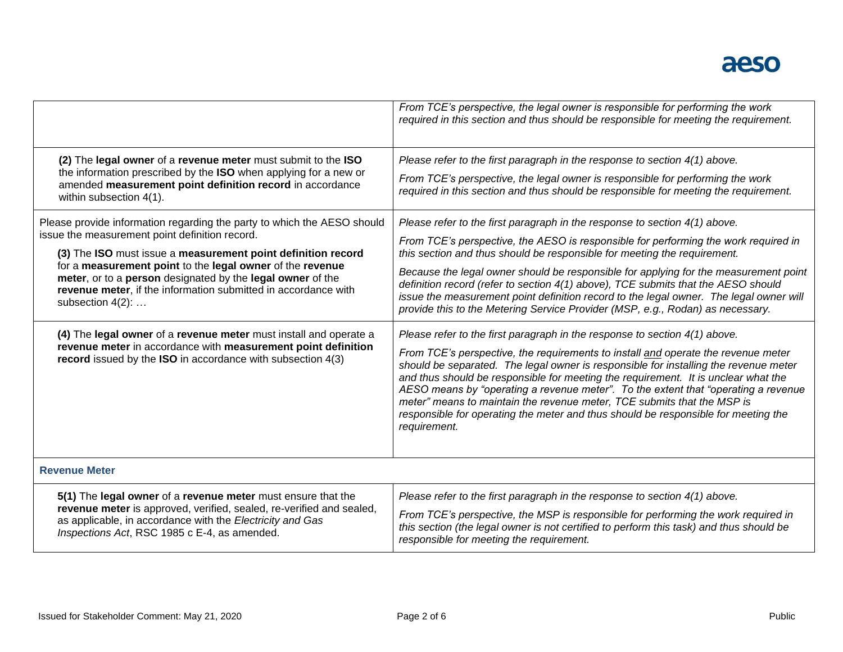|                                                                                                                                                                                                                                                                                                                                                                                                            | From TCE's perspective, the legal owner is responsible for performing the work<br>required in this section and thus should be responsible for meeting the requirement.                                                                                                                                                                                                                                                                                                                                                                                                                                               |
|------------------------------------------------------------------------------------------------------------------------------------------------------------------------------------------------------------------------------------------------------------------------------------------------------------------------------------------------------------------------------------------------------------|----------------------------------------------------------------------------------------------------------------------------------------------------------------------------------------------------------------------------------------------------------------------------------------------------------------------------------------------------------------------------------------------------------------------------------------------------------------------------------------------------------------------------------------------------------------------------------------------------------------------|
| (2) The legal owner of a revenue meter must submit to the ISO<br>the information prescribed by the ISO when applying for a new or<br>amended measurement point definition record in accordance<br>within subsection 4(1).                                                                                                                                                                                  | Please refer to the first paragraph in the response to section $4(1)$ above.<br>From TCE's perspective, the legal owner is responsible for performing the work<br>required in this section and thus should be responsible for meeting the requirement.                                                                                                                                                                                                                                                                                                                                                               |
| Please provide information regarding the party to which the AESO should<br>issue the measurement point definition record.<br>(3) The ISO must issue a measurement point definition record<br>for a measurement point to the legal owner of the revenue<br>meter, or to a person designated by the legal owner of the<br>revenue meter, if the information submitted in accordance with<br>subsection 4(2): | Please refer to the first paragraph in the response to section 4(1) above.<br>From TCE's perspective, the AESO is responsible for performing the work required in<br>this section and thus should be responsible for meeting the requirement.<br>Because the legal owner should be responsible for applying for the measurement point<br>definition record (refer to section 4(1) above), TCE submits that the AESO should<br>issue the measurement point definition record to the legal owner. The legal owner will<br>provide this to the Metering Service Provider (MSP, e.g., Rodan) as necessary.               |
| (4) The legal owner of a revenue meter must install and operate a<br>revenue meter in accordance with measurement point definition<br>record issued by the ISO in accordance with subsection 4(3)                                                                                                                                                                                                          | Please refer to the first paragraph in the response to section 4(1) above.<br>From TCE's perspective, the requirements to install and operate the revenue meter<br>should be separated. The legal owner is responsible for installing the revenue meter<br>and thus should be responsible for meeting the requirement. It is unclear what the<br>AESO means by "operating a revenue meter". To the extent that "operating a revenue<br>meter" means to maintain the revenue meter, TCE submits that the MSP is<br>responsible for operating the meter and thus should be responsible for meeting the<br>requirement. |
| <b>Revenue Meter</b>                                                                                                                                                                                                                                                                                                                                                                                       |                                                                                                                                                                                                                                                                                                                                                                                                                                                                                                                                                                                                                      |
| 5(1) The legal owner of a revenue meter must ensure that the<br>revenue meter is approved, verified, sealed, re-verified and sealed,<br>as applicable, in accordance with the Electricity and Gas<br>Inspections Act, RSC 1985 c E-4, as amended.                                                                                                                                                          | Please refer to the first paragraph in the response to section 4(1) above.<br>From TCE's perspective, the MSP is responsible for performing the work required in<br>this section (the legal owner is not certified to perform this task) and thus should be<br>responsible for meeting the requirement.                                                                                                                                                                                                                                                                                                              |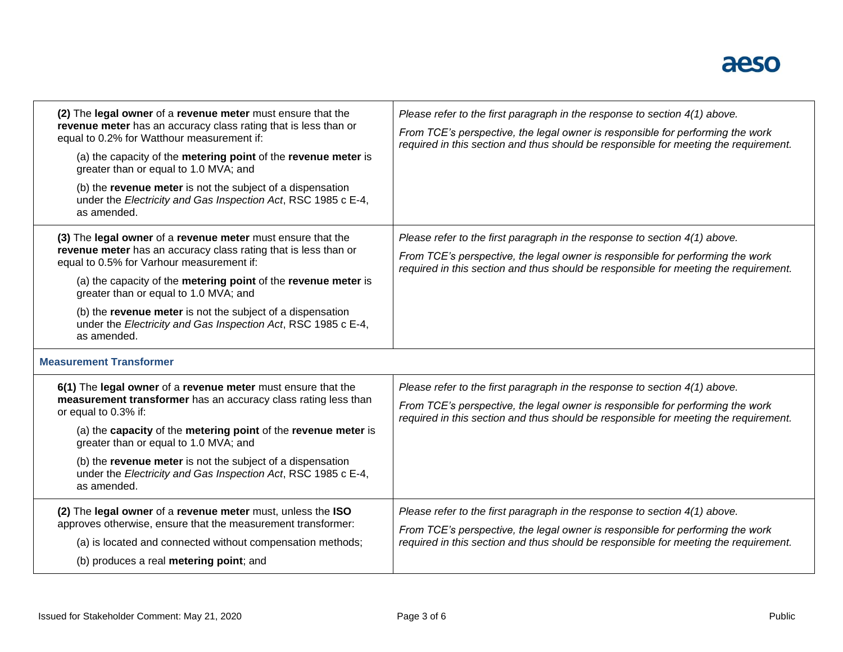

| (2) The legal owner of a revenue meter must ensure that the<br>revenue meter has an accuracy class rating that is less than or<br>equal to 0.2% for Watthour measurement if:<br>(a) the capacity of the metering point of the revenue meter is<br>greater than or equal to 1.0 MVA; and<br>(b) the revenue meter is not the subject of a dispensation<br>under the Electricity and Gas Inspection Act, RSC 1985 c E-4,<br>as amended. | Please refer to the first paragraph in the response to section 4(1) above.<br>From TCE's perspective, the legal owner is responsible for performing the work<br>required in this section and thus should be responsible for meeting the requirement.   |
|---------------------------------------------------------------------------------------------------------------------------------------------------------------------------------------------------------------------------------------------------------------------------------------------------------------------------------------------------------------------------------------------------------------------------------------|--------------------------------------------------------------------------------------------------------------------------------------------------------------------------------------------------------------------------------------------------------|
| (3) The legal owner of a revenue meter must ensure that the<br>revenue meter has an accuracy class rating that is less than or<br>equal to 0.5% for Varhour measurement if:<br>(a) the capacity of the metering point of the revenue meter is<br>greater than or equal to 1.0 MVA; and<br>(b) the revenue meter is not the subject of a dispensation<br>under the Electricity and Gas Inspection Act, RSC 1985 c E-4,<br>as amended.  | Please refer to the first paragraph in the response to section $4(1)$ above.<br>From TCE's perspective, the legal owner is responsible for performing the work<br>required in this section and thus should be responsible for meeting the requirement. |
| <b>Measurement Transformer</b>                                                                                                                                                                                                                                                                                                                                                                                                        |                                                                                                                                                                                                                                                        |
| 6(1) The legal owner of a revenue meter must ensure that the<br>measurement transformer has an accuracy class rating less than<br>or equal to 0.3% if:<br>(a) the capacity of the metering point of the revenue meter is<br>greater than or equal to 1.0 MVA; and<br>(b) the revenue meter is not the subject of a dispensation<br>under the Electricity and Gas Inspection Act, RSC 1985 c E-4,<br>as amended.                       | Please refer to the first paragraph in the response to section $4(1)$ above.<br>From TCE's perspective, the legal owner is responsible for performing the work<br>required in this section and thus should be responsible for meeting the requirement. |
| (2) The legal owner of a revenue meter must, unless the ISO<br>approves otherwise, ensure that the measurement transformer:<br>(a) is located and connected without compensation methods;<br>(b) produces a real metering point; and                                                                                                                                                                                                  | Please refer to the first paragraph in the response to section 4(1) above.<br>From TCE's perspective, the legal owner is responsible for performing the work<br>required in this section and thus should be responsible for meeting the requirement.   |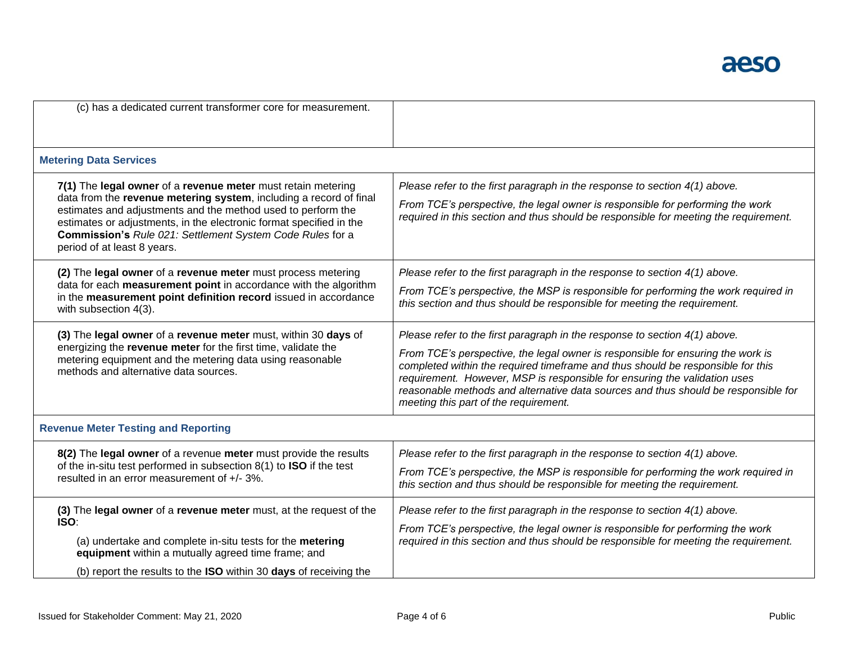

| (c) has a dedicated current transformer core for measurement.                                                                                                                                                                                                                                                                                                         |                                                                                                                                                                                                                                                                                                                                                                                                                                                                |
|-----------------------------------------------------------------------------------------------------------------------------------------------------------------------------------------------------------------------------------------------------------------------------------------------------------------------------------------------------------------------|----------------------------------------------------------------------------------------------------------------------------------------------------------------------------------------------------------------------------------------------------------------------------------------------------------------------------------------------------------------------------------------------------------------------------------------------------------------|
| <b>Metering Data Services</b>                                                                                                                                                                                                                                                                                                                                         |                                                                                                                                                                                                                                                                                                                                                                                                                                                                |
| 7(1) The legal owner of a revenue meter must retain metering<br>data from the revenue metering system, including a record of final<br>estimates and adjustments and the method used to perform the<br>estimates or adjustments, in the electronic format specified in the<br>Commission's Rule 021: Settlement System Code Rules for a<br>period of at least 8 years. | Please refer to the first paragraph in the response to section 4(1) above.<br>From TCE's perspective, the legal owner is responsible for performing the work<br>required in this section and thus should be responsible for meeting the requirement.                                                                                                                                                                                                           |
| (2) The legal owner of a revenue meter must process metering<br>data for each measurement point in accordance with the algorithm<br>in the measurement point definition record issued in accordance<br>with subsection 4(3).                                                                                                                                          | Please refer to the first paragraph in the response to section 4(1) above.<br>From TCE's perspective, the MSP is responsible for performing the work required in<br>this section and thus should be responsible for meeting the requirement.                                                                                                                                                                                                                   |
| (3) The legal owner of a revenue meter must, within 30 days of<br>energizing the revenue meter for the first time, validate the<br>metering equipment and the metering data using reasonable<br>methods and alternative data sources.                                                                                                                                 | Please refer to the first paragraph in the response to section $4(1)$ above.<br>From TCE's perspective, the legal owner is responsible for ensuring the work is<br>completed within the required timeframe and thus should be responsible for this<br>requirement. However, MSP is responsible for ensuring the validation uses<br>reasonable methods and alternative data sources and thus should be responsible for<br>meeting this part of the requirement. |
| <b>Revenue Meter Testing and Reporting</b>                                                                                                                                                                                                                                                                                                                            |                                                                                                                                                                                                                                                                                                                                                                                                                                                                |
| 8(2) The legal owner of a revenue meter must provide the results<br>of the in-situ test performed in subsection 8(1) to ISO if the test<br>resulted in an error measurement of +/- 3%.                                                                                                                                                                                | Please refer to the first paragraph in the response to section $4(1)$ above.<br>From TCE's perspective, the MSP is responsible for performing the work required in<br>this section and thus should be responsible for meeting the requirement.                                                                                                                                                                                                                 |
| (3) The legal owner of a revenue meter must, at the request of the<br>ISO:<br>(a) undertake and complete in-situ tests for the metering<br>equipment within a mutually agreed time frame; and<br>(b) report the results to the ISO within 30 days of receiving the                                                                                                    | Please refer to the first paragraph in the response to section $4(1)$ above.<br>From TCE's perspective, the legal owner is responsible for performing the work<br>required in this section and thus should be responsible for meeting the requirement.                                                                                                                                                                                                         |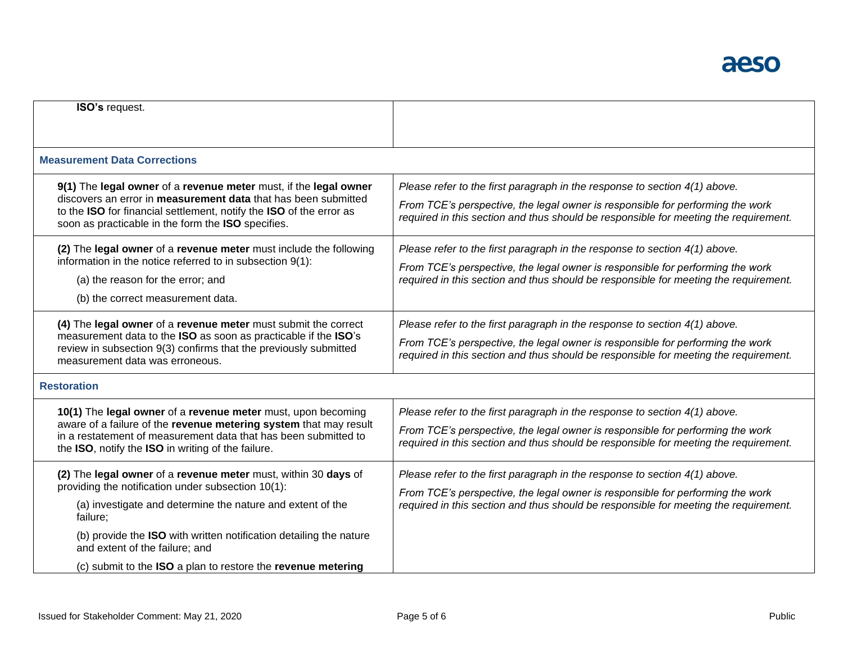| <b>ISO's request.</b>                                                                                                                                                                                                                                                                                                                                                  |                                                                                                                                                                                                                                                      |
|------------------------------------------------------------------------------------------------------------------------------------------------------------------------------------------------------------------------------------------------------------------------------------------------------------------------------------------------------------------------|------------------------------------------------------------------------------------------------------------------------------------------------------------------------------------------------------------------------------------------------------|
| <b>Measurement Data Corrections</b>                                                                                                                                                                                                                                                                                                                                    |                                                                                                                                                                                                                                                      |
| 9(1) The legal owner of a revenue meter must, if the legal owner<br>discovers an error in measurement data that has been submitted<br>to the ISO for financial settlement, notify the ISO of the error as<br>soon as practicable in the form the ISO specifies.                                                                                                        | Please refer to the first paragraph in the response to section 4(1) above.<br>From TCE's perspective, the legal owner is responsible for performing the work<br>required in this section and thus should be responsible for meeting the requirement. |
| (2) The legal owner of a revenue meter must include the following<br>information in the notice referred to in subsection 9(1):<br>(a) the reason for the error; and<br>(b) the correct measurement data.                                                                                                                                                               | Please refer to the first paragraph in the response to section 4(1) above.<br>From TCE's perspective, the legal owner is responsible for performing the work<br>required in this section and thus should be responsible for meeting the requirement. |
| (4) The legal owner of a revenue meter must submit the correct<br>measurement data to the ISO as soon as practicable if the ISO's<br>review in subsection 9(3) confirms that the previously submitted<br>measurement data was erroneous.                                                                                                                               | Please refer to the first paragraph in the response to section 4(1) above.<br>From TCE's perspective, the legal owner is responsible for performing the work<br>required in this section and thus should be responsible for meeting the requirement. |
| <b>Restoration</b>                                                                                                                                                                                                                                                                                                                                                     |                                                                                                                                                                                                                                                      |
| 10(1) The legal owner of a revenue meter must, upon becoming<br>aware of a failure of the revenue metering system that may result<br>in a restatement of measurement data that has been submitted to<br>the ISO, notify the ISO in writing of the failure.                                                                                                             | Please refer to the first paragraph in the response to section 4(1) above.<br>From TCE's perspective, the legal owner is responsible for performing the work<br>required in this section and thus should be responsible for meeting the requirement. |
| (2) The legal owner of a revenue meter must, within 30 days of<br>providing the notification under subsection 10(1):<br>(a) investigate and determine the nature and extent of the<br>failure;<br>(b) provide the ISO with written notification detailing the nature<br>and extent of the failure; and<br>(c) submit to the ISO a plan to restore the revenue metering | Please refer to the first paragraph in the response to section 4(1) above.<br>From TCE's perspective, the legal owner is responsible for performing the work<br>required in this section and thus should be responsible for meeting the requirement. |